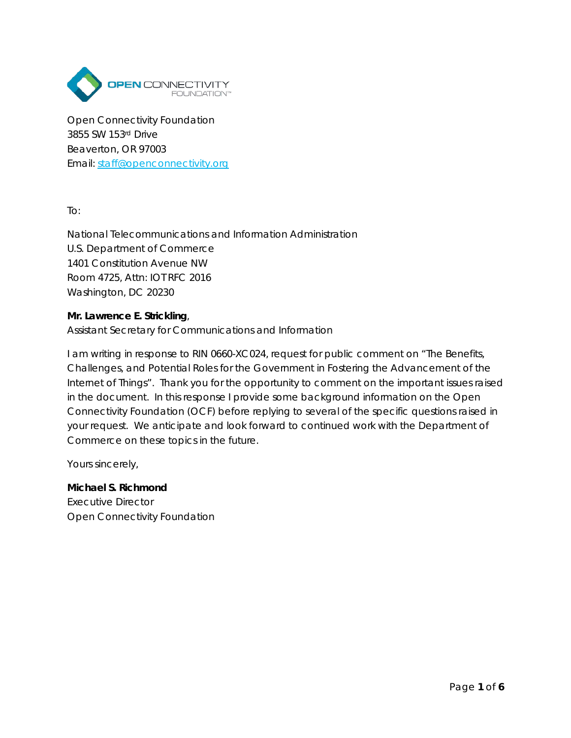

Open Connectivity Foundation 3855 SW 153rd Drive Beaverton, OR 97003 Email: [staff@openconnectivity.org](mailto:staff@openconnectivity.org)

To:

National Telecommunications and Information Administration U.S. Department of Commerce 1401 Constitution Avenue NW Room 4725, Attn: IOT RFC 2016 Washington, DC 20230

#### **Mr. Lawrence E. Strickling**,

Assistant Secretary for Communications and Information

I am writing in response to RIN 0660-XC024, request for public comment on "The Benefits, Challenges, and Potential Roles for the Government in Fostering the Advancement of the Internet of Things". Thank you for the opportunity to comment on the important issues raised in the document. In this response I provide some background information on the Open Connectivity Foundation (OCF) before replying to several of the specific questions raised in your request. We anticipate and look forward to continued work with the Department of Commerce on these topics in the future.

Yours sincerely,

**Michael S. Richmond** Executive Director Open Connectivity Foundation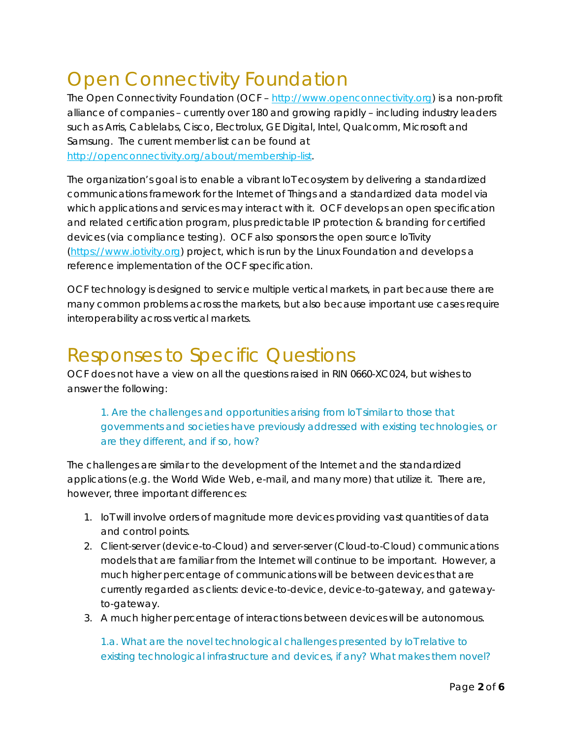# Open Connectivity Foundation

The Open Connectivity Foundation (OCF – [http://www.openconnectivity.org\)](http://www.openconnectivity.org/) is a non-profit alliance of companies – currently over 180 and growing rapidly – including industry leaders such as Arris, Cablelabs, Cisco, Electrolux, GE Digital, Intel, Qualcomm, Microsoft and Samsung. The current member list can be found at [http://openconnectivity.org/about/membership-list.](http://openconnectivity.org/about/membership-list)

The organization's goal is to enable a vibrant IoT ecosystem by delivering a standardized communications framework for the Internet of Things and a standardized data model via which applications and services may interact with it. OCF develops an open specification and related certification program, plus predictable IP protection & branding for certified devices (via compliance testing). OCF also sponsors the open source IoTivity [\(https://www.iotivity.org\)](https://www.iotivity.org/) project, which is run by the Linux Foundation and develops a reference implementation of the OCF specification.

OCF technology is designed to service multiple vertical markets, in part because there are many common problems across the markets, but also because important use cases require interoperability across vertical markets.

## Responses to Specific Questions

OCF does not have a view on all the questions raised in RIN 0660-XC024, but wishes to answer the following:

#### *1. Are the challenges and opportunities arising from IoT similar to those that governments and societies have previously addressed with existing technologies, or are they different, and if so, how?*

The challenges are similar to the development of the Internet and the standardized applications (e.g. the World Wide Web, e-mail, and many more) that utilize it. There are, however, three important differences:

- 1. IoT will involve orders of magnitude more devices providing vast quantities of data and control points.
- 2. Client-server (device-to-Cloud) and server-server (Cloud-to-Cloud) communications models that are familiar from the Internet will continue to be important. However, a much higher percentage of communications will be between devices that are currently regarded as clients: device-to-device, device-to-gateway, and gatewayto-gateway.
- 3. A much higher percentage of interactions between devices will be autonomous.

#### *1.a. What are the novel technological challenges presented by IoT relative to existing technological infrastructure and devices, if any? What makes them novel?*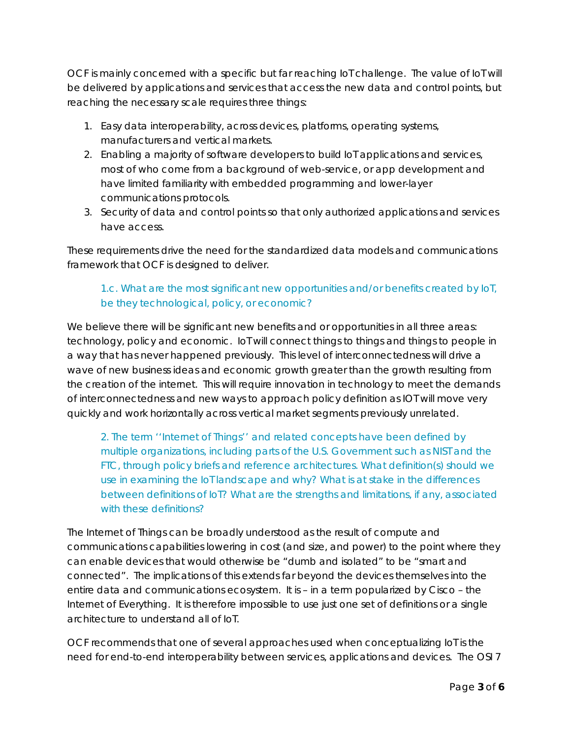OCF is mainly concerned with a specific but far reaching IoT challenge. The value of IoT will be delivered by applications and services that access the new data and control points, but reaching the necessary scale requires three things:

- 1. Easy data interoperability, across devices, platforms, operating systems, manufacturers and vertical markets.
- 2. Enabling a majority of software developers to build IoT applications and services, most of who come from a background of web-service, or app development and have limited familiarity with embedded programming and lower-layer communications protocols.
- 3. Security of data and control points so that only authorized applications and services have access.

These requirements drive the need for the standardized data models and communications framework that OCF is designed to deliver.

### 1.c. What are the most significant new opportunities and/or benefits created by IoT, be they technological, policy, or economic?

We believe there will be significant new benefits and or opportunities in all three areas: technology, policy and economic. IoT will connect things to things and things to people in a way that has never happened previously. This level of interconnectedness will drive a wave of new business ideas and economic growth greater than the growth resulting from the creation of the internet. This will require innovation in technology to meet the demands of interconnectedness and new ways to approach policy definition as IOT will move very quickly and work horizontally across vertical market segments previously unrelated.

2. The term ''Internet of Things'' and related concepts have been defined by multiple organizations, including parts of the U.S. Government such as NIST and the FTC, through policy briefs and reference architectures. What definition(s) should we use in examining the IoT landscape and why? What is at stake in the differences between definitions of IoT? What are the strengths and limitations, if any, associated with these definitions?

The Internet of Things can be broadly understood as the result of compute and communications capabilities lowering in cost (and size, and power) to the point where they can enable devices that would otherwise be "dumb and isolated" to be "smart and connected". The implications of this extends far beyond the devices themselves into the entire data and communications ecosystem. It is – in a term popularized by Cisco – the Internet of Everything. It is therefore impossible to use just one set of definitions or a single architecture to understand all of IoT.

OCF recommends that one of several approaches used when conceptualizing IoT is the need for end-to-end interoperability between services, applications and devices. The OSI 7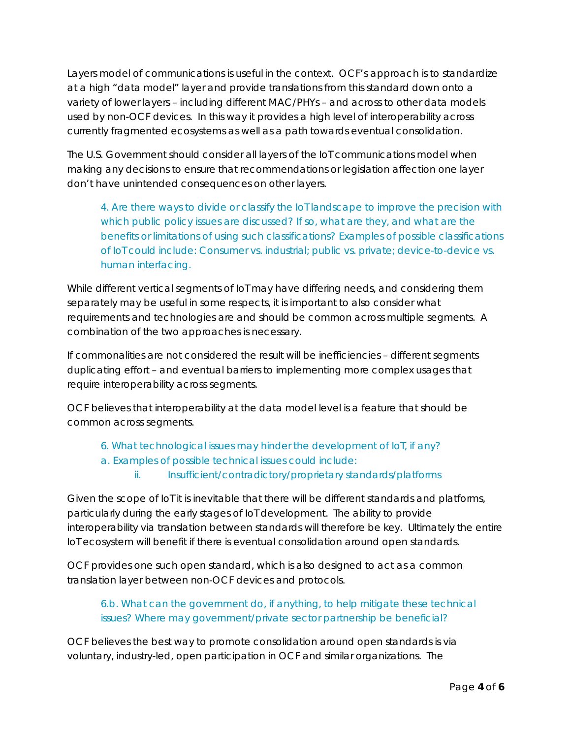Layers model of communications is useful in the context. OCF's approach is to standardize at a high "data model" layer and provide translations from this standard down onto a variety of lower layers – including different MAC/PHYs – and across to other data models used by non-OCF devices. In this way it provides a high level of interoperability across currently fragmented ecosystems as well as a path towards eventual consolidation.

The U.S. Government should consider all layers of the IoT communications model when making any decisions to ensure that recommendations or legislation affection one layer don't have unintended consequences on other layers.

4. Are there ways to divide or classify the IoT landscape to improve the precision with which public policy issues are discussed? If so, what are they, and what are the benefits or limitations of using such classifications? Examples of possible classifications of IoT could include: Consumer vs. industrial; public vs. private; device-to-device vs. human interfacing.

While different vertical segments of IoT may have differing needs, and considering them separately may be useful in some respects, it is important to also consider what requirements and technologies are and should be common across multiple segments. A combination of the two approaches is necessary.

If commonalities are not considered the result will be inefficiencies – different segments duplicating effort – and eventual barriers to implementing more complex usages that require interoperability across segments.

OCF believes that interoperability at the data model level is a feature that should be common across segments.

- 6. What technological issues may hinder the development of IoT, if any?
- a. Examples of possible technical issues could include:
	- ii. Insufficient/contradictory/proprietary standards/platforms

Given the scope of IoT it is inevitable that there will be different standards and platforms, particularly during the early stages of IoT development. The ability to provide interoperability via translation between standards will therefore be key. Ultimately the entire IoT ecosystem will benefit if there is eventual consolidation around open standards.

OCF provides one such open standard, which is also designed to act as a common translation layer between non-OCF devices and protocols.

6.b. What can the government do, if anything, to help mitigate these technical issues? Where may government/private sector partnership be beneficial?

OCF believes the best way to promote consolidation around open standards is via voluntary, industry-led, open participation in OCF and similar organizations. The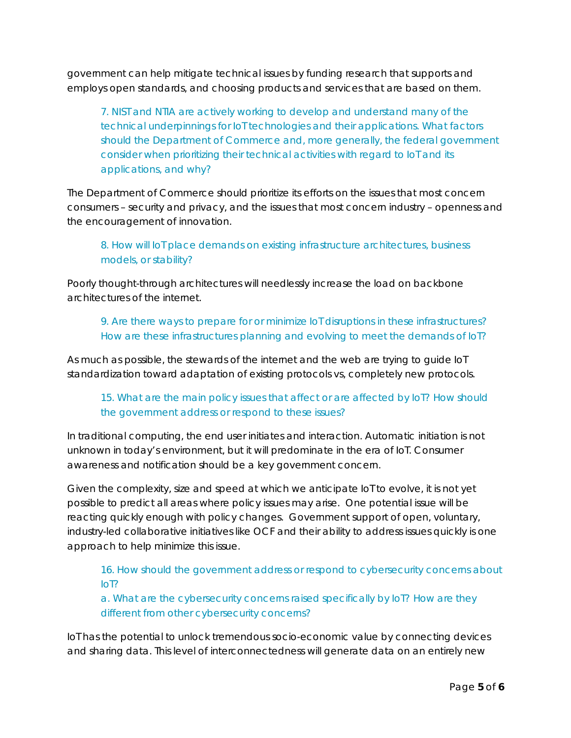government can help mitigate technical issues by funding research that supports and employs open standards, and choosing products and services that are based on them.

7. NIST and NTIA are actively working to develop and understand many of the technical underpinnings for IoT technologies and their applications. What factors should the Department of Commerce and, more generally, the federal government consider when prioritizing their technical activities with regard to IoT and its applications, and why?

The Department of Commerce should prioritize its efforts on the issues that most concern consumers – security and privacy, and the issues that most concern industry – openness and the encouragement of innovation.

8. How will IoT place demands on existing infrastructure architectures, business models, or stability?

Poorly thought-through architectures will needlessly increase the load on backbone architectures of the internet.

9. Are there ways to prepare for or minimize IoT disruptions in these infrastructures? How are these infrastructures planning and evolving to meet the demands of IoT?

As much as possible, the stewards of the internet and the web are trying to guide IoT standardization toward adaptation of existing protocols vs, completely new protocols.

#### 15. What are the main policy issues that affect or are affected by IoT? How should the government address or respond to these issues?

In traditional computing, the end user initiates and interaction. Automatic initiation is not unknown in today's environment, but it will predominate in the era of IoT. Consumer awareness and notification should be a key government concern.

Given the complexity, size and speed at which we anticipate IoT to evolve, it is not yet possible to predict all areas where policy issues may arise. One potential issue will be reacting quickly enough with policy changes. Government support of open, voluntary, industry-led collaborative initiatives like OCF and their ability to address issues quickly is one approach to help minimize this issue.

16. How should the government address or respond to cybersecurity concerns about IoT?

a. What are the cybersecurity concerns raised specifically by IoT? How are they different from other cybersecurity concerns?

IoT has the potential to unlock tremendous socio-economic value by connecting devices and sharing data. This level of interconnectedness will generate data on an entirely new